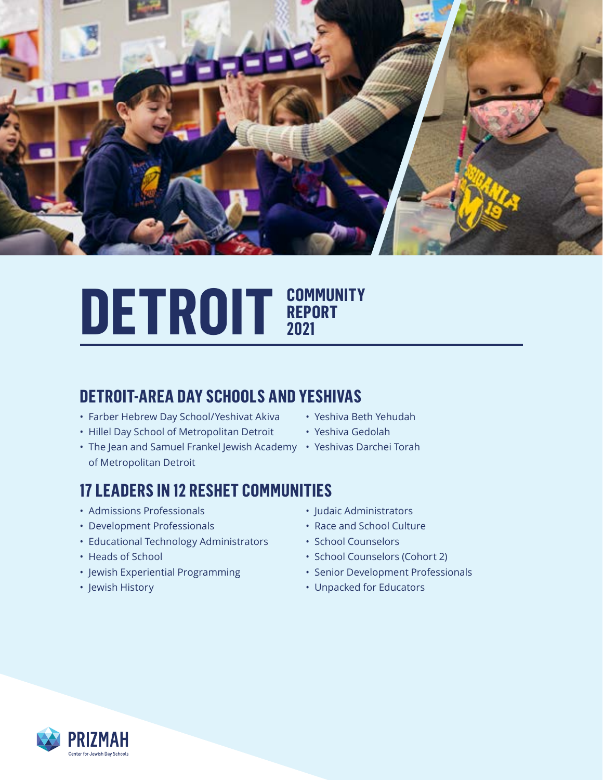

## DETROIT **REPORT REPORT 2021**

#### **DETROIT-AREA DAY SCHOOLS AND YESHIVAS**

- Farber Hebrew Day School/Yeshivat Akiva
- Hillel Day School of Metropolitan Detroit
- The Jean and Samuel Frankel Jewish Academy Yeshivas Darchei Torah of Metropolitan Detroit
- Yeshiva Beth Yehudah
- Yeshiva Gedolah
- 

# **17 LEADERS IN 12 RESHET COMMUNITIES**

- Admissions Professionals
- Development Professionals
- Educational Technology Administrators
- Heads of School
- Jewish Experiential Programming
- Jewish History
- Judaic Administrators
- Race and School Culture
- School Counselors
- School Counselors (Cohort 2)
- Senior Development Professionals
- Unpacked for Educators